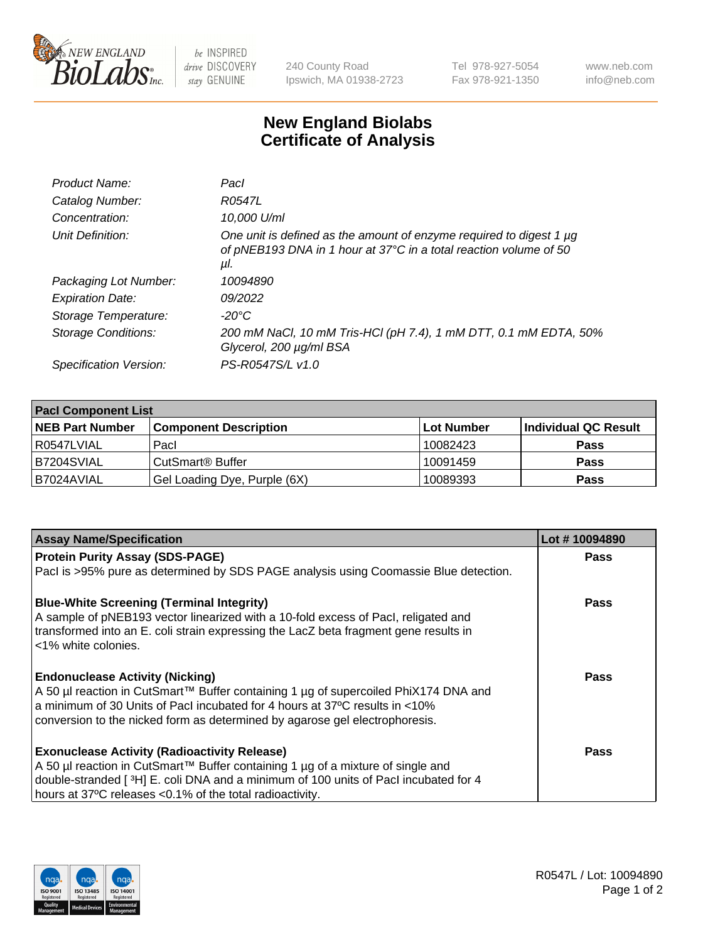

 $be$  INSPIRED drive DISCOVERY stay GENUINE

240 County Road Ipswich, MA 01938-2723 Tel 978-927-5054 Fax 978-921-1350 www.neb.com info@neb.com

## **New England Biolabs Certificate of Analysis**

| Product Name:           | Pacl                                                                                                                                            |
|-------------------------|-------------------------------------------------------------------------------------------------------------------------------------------------|
| Catalog Number:         | R0547L                                                                                                                                          |
| Concentration:          | 10,000 U/ml                                                                                                                                     |
| Unit Definition:        | One unit is defined as the amount of enzyme required to digest 1 µg<br>of pNEB193 DNA in 1 hour at 37°C in a total reaction volume of 50<br>μI. |
| Packaging Lot Number:   | 10094890                                                                                                                                        |
| <b>Expiration Date:</b> | 09/2022                                                                                                                                         |
| Storage Temperature:    | $-20^{\circ}$ C                                                                                                                                 |
| Storage Conditions:     | 200 mM NaCl, 10 mM Tris-HCl (pH 7.4), 1 mM DTT, 0.1 mM EDTA, 50%<br>Glycerol, 200 µg/ml BSA                                                     |
| Specification Version:  | PS-R0547S/L v1.0                                                                                                                                |

| <b>Pacl Component List</b> |                              |                   |                      |  |  |
|----------------------------|------------------------------|-------------------|----------------------|--|--|
| <b>NEB Part Number</b>     | <b>Component Description</b> | <b>Lot Number</b> | Individual QC Result |  |  |
| R0547LVIAL                 | Pacl                         | 10082423          | <b>Pass</b>          |  |  |
| B7204SVIAL                 | l CutSmart® Buffer           | 10091459          | <b>Pass</b>          |  |  |
| B7024AVIAL                 | Gel Loading Dye, Purple (6X) | 10089393          | <b>Pass</b>          |  |  |

| <b>Assay Name/Specification</b>                                                                                                                                                                   | Lot #10094890 |
|---------------------------------------------------------------------------------------------------------------------------------------------------------------------------------------------------|---------------|
| <b>Protein Purity Assay (SDS-PAGE)</b>                                                                                                                                                            | <b>Pass</b>   |
| PacI is >95% pure as determined by SDS PAGE analysis using Coomassie Blue detection.                                                                                                              |               |
| <b>Blue-White Screening (Terminal Integrity)</b>                                                                                                                                                  | <b>Pass</b>   |
| A sample of pNEB193 vector linearized with a 10-fold excess of Pacl, religated and<br>transformed into an E. coli strain expressing the LacZ beta fragment gene results in<br><1% white colonies. |               |
| <b>Endonuclease Activity (Nicking)</b>                                                                                                                                                            | <b>Pass</b>   |
| A 50 µl reaction in CutSmart™ Buffer containing 1 µg of supercoiled PhiX174 DNA and                                                                                                               |               |
| a minimum of 30 Units of Pacl incubated for 4 hours at 37°C results in <10%                                                                                                                       |               |
| conversion to the nicked form as determined by agarose gel electrophoresis.                                                                                                                       |               |
| <b>Exonuclease Activity (Radioactivity Release)</b>                                                                                                                                               | Pass          |
| A 50 µl reaction in CutSmart™ Buffer containing 1 µg of a mixture of single and                                                                                                                   |               |
| double-stranded [3H] E. coli DNA and a minimum of 100 units of Pacl incubated for 4                                                                                                               |               |
| hours at 37°C releases <0.1% of the total radioactivity.                                                                                                                                          |               |